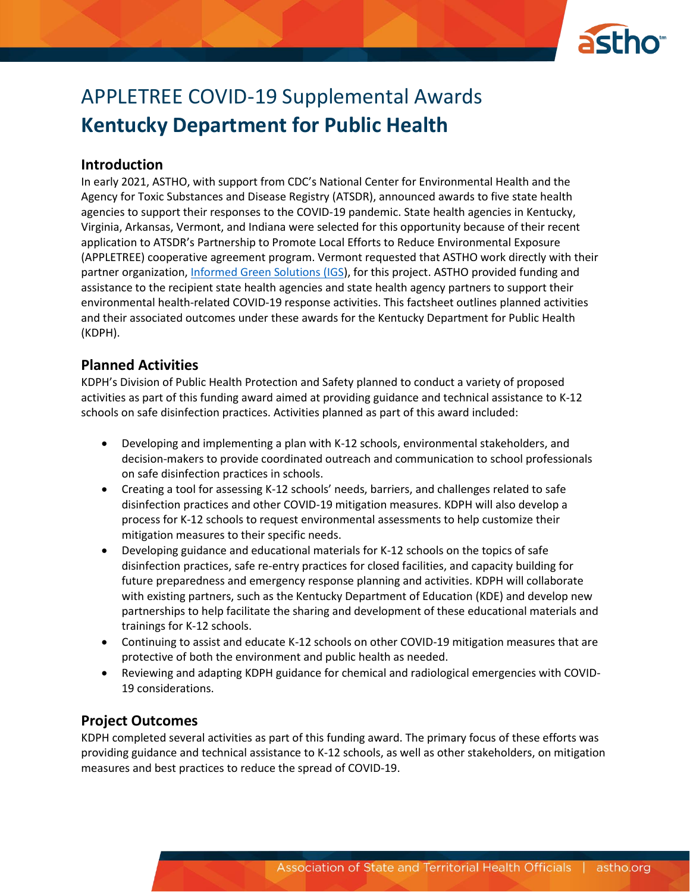

# APPLETREE COVID-19 Supplemental Awards **Kentucky Department for Public Health**

## **Introduction**

In early 2021, ASTHO, with support from CDC's National Center for Environmental Health and the Agency for Toxic Substances and Disease Registry (ATSDR), announced awards to five state health agencies to support their responses to the COVID-19 pandemic. State health agencies in Kentucky, Virginia, Arkansas, Vermont, and Indiana were selected for this opportunity because of their recent application to ATSDR's Partnership to Promote Local Efforts to Reduce Environmental Exposure (APPLETREE) cooperative agreement program. Vermont requested that ASTHO work directly with their partner organization, [Informed Green Solutions \(IGS\)](https://www.informedgreensolutions.org/), for this project. ASTHO provided funding and assistance to the recipient state health agencies and state health agency partners to support their environmental health-related COVID-19 response activities. This factsheet outlines planned activities and their associated outcomes under these awards for the Kentucky Department for Public Health (KDPH).

## **Planned Activities**

KDPH's Division of Public Health Protection and Safety planned to conduct a variety of proposed activities as part of this funding award aimed at providing guidance and technical assistance to K-12 schools on safe disinfection practices. Activities planned as part of this award included:

- Developing and implementing a plan with K-12 schools, environmental stakeholders, and decision-makers to provide coordinated outreach and communication to school professionals on safe disinfection practices in schools.
- Creating a tool for assessing K-12 schools' needs, barriers, and challenges related to safe disinfection practices and other COVID-19 mitigation measures. KDPH will also develop a process for K-12 schools to request environmental assessments to help customize their mitigation measures to their specific needs.
- Developing guidance and educational materials for K-12 schools on the topics of safe disinfection practices, safe re-entry practices for closed facilities, and capacity building for future preparedness and emergency response planning and activities. KDPH will collaborate with existing partners, such as the Kentucky Department of Education (KDE) and develop new partnerships to help facilitate the sharing and development of these educational materials and trainings for K-12 schools.
- Continuing to assist and educate K-12 schools on other COVID-19 mitigation measures that are protective of both the environment and public health as needed.
- Reviewing and adapting KDPH guidance for chemical and radiological emergencies with COVID-19 considerations.

## **Project Outcomes**

KDPH completed several activities as part of this funding award. The primary focus of these efforts was providing guidance and technical assistance to K-12 schools, as well as other stakeholders, on mitigation measures and best practices to reduce the spread of COVID-19.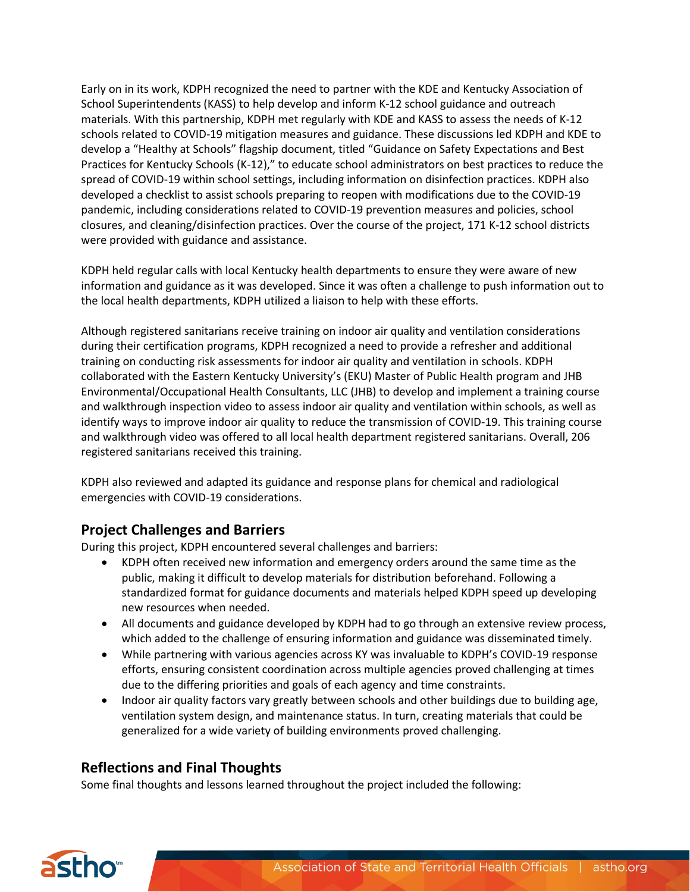Early on in its work, KDPH recognized the need to partner with the KDE and Kentucky Association of School Superintendents (KASS) to help develop and inform K-12 school guidance and outreach materials. With this partnership, KDPH met regularly with KDE and KASS to assess the needs of K-12 schools related to COVID-19 mitigation measures and guidance. These discussions led KDPH and KDE to develop a "Healthy at Schools" flagship document, titled "Guidance on Safety Expectations and Best Practices for Kentucky Schools (K-12)," to educate school administrators on best practices to reduce the spread of COVID-19 within school settings, including information on disinfection practices. KDPH also developed a checklist to assist schools preparing to reopen with modifications due to the COVID-19 pandemic, including considerations related to COVID-19 prevention measures and policies, school closures, and cleaning/disinfection practices. Over the course of the project, 171 K-12 school districts were provided with guidance and assistance.

KDPH held regular calls with local Kentucky health departments to ensure they were aware of new information and guidance as it was developed. Since it was often a challenge to push information out to the local health departments, KDPH utilized a liaison to help with these efforts.

Although registered sanitarians receive training on indoor air quality and ventilation considerations during their certification programs, KDPH recognized a need to provide a refresher and additional training on conducting risk assessments for indoor air quality and ventilation in schools. KDPH collaborated with the Eastern Kentucky University's (EKU) Master of Public Health program and JHB Environmental/Occupational Health Consultants, LLC (JHB) to develop and implement a training course and walkthrough inspection video to assess indoor air quality and ventilation within schools, as well as identify ways to improve indoor air quality to reduce the transmission of COVID-19. This training course and walkthrough video was offered to all local health department registered sanitarians. Overall, 206 registered sanitarians received this training.

KDPH also reviewed and adapted its guidance and response plans for chemical and radiological emergencies with COVID-19 considerations.

# **Project Challenges and Barriers**

During this project, KDPH encountered several challenges and barriers:

- KDPH often received new information and emergency orders around the same time as the public, making it difficult to develop materials for distribution beforehand. Following a standardized format for guidance documents and materials helped KDPH speed up developing new resources when needed.
- All documents and guidance developed by KDPH had to go through an extensive review process, which added to the challenge of ensuring information and guidance was disseminated timely.
- While partnering with various agencies across KY was invaluable to KDPH's COVID-19 response efforts, ensuring consistent coordination across multiple agencies proved challenging at times due to the differing priorities and goals of each agency and time constraints.
- Indoor air quality factors vary greatly between schools and other buildings due to building age, ventilation system design, and maintenance status. In turn, creating materials that could be generalized for a wide variety of building environments proved challenging.

# **Reflections and Final Thoughts**

Some final thoughts and lessons learned throughout the project included the following: